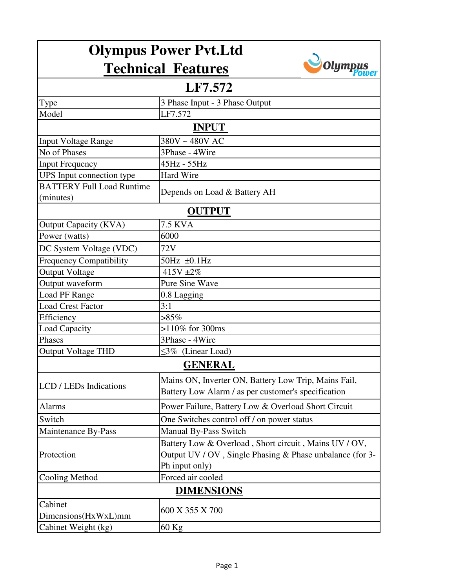| <b>Olympus Power Pvt.Ltd</b>                  |                                                                                                                                       |  |
|-----------------------------------------------|---------------------------------------------------------------------------------------------------------------------------------------|--|
|                                               | Olump<br><b>Technical Features</b>                                                                                                    |  |
| LF7.572                                       |                                                                                                                                       |  |
| Type                                          | 3 Phase Input - 3 Phase Output                                                                                                        |  |
| Model                                         | LF7.572                                                                                                                               |  |
| <b>INPUT</b>                                  |                                                                                                                                       |  |
| <b>Input Voltage Range</b>                    | 380V ~ 480V AC                                                                                                                        |  |
| No of Phases                                  | 3Phase - 4Wire                                                                                                                        |  |
| <b>Input Frequency</b>                        | 45Hz - 55Hz                                                                                                                           |  |
| UPS Input connection type                     | Hard Wire                                                                                                                             |  |
| <b>BATTERY Full Load Runtime</b><br>(minutes) | Depends on Load & Battery AH                                                                                                          |  |
| <b>OUTPUT</b>                                 |                                                                                                                                       |  |
| Output Capacity (KVA)                         | <b>7.5 KVA</b>                                                                                                                        |  |
| Power (watts)                                 | 6000                                                                                                                                  |  |
| DC System Voltage (VDC)                       | 72V                                                                                                                                   |  |
| <b>Frequency Compatibility</b>                | $50Hz \pm 0.1Hz$                                                                                                                      |  |
| <b>Output Voltage</b>                         | 415V $\pm 2\%$                                                                                                                        |  |
| Output waveform                               | <b>Pure Sine Wave</b>                                                                                                                 |  |
| Load PF Range                                 | 0.8 Lagging                                                                                                                           |  |
| <b>Load Crest Factor</b>                      | 3:1                                                                                                                                   |  |
| Efficiency                                    | $>85\%$                                                                                                                               |  |
| Load Capacity                                 | $>110\%$ for 300ms                                                                                                                    |  |
| Phases                                        | 3Phase - 4Wire                                                                                                                        |  |
| <b>Output Voltage THD</b>                     | $\leq$ 3% (Linear Load)                                                                                                               |  |
| <b>GENERAL</b>                                |                                                                                                                                       |  |
| LCD / LEDs Indications                        | Mains ON, Inverter ON, Battery Low Trip, Mains Fail,<br>Battery Low Alarm / as per customer's specification                           |  |
| <b>Alarms</b>                                 | Power Failure, Battery Low & Overload Short Circuit                                                                                   |  |
| Switch                                        | One Switches control off / on power status                                                                                            |  |
| Maintenance By-Pass                           | Manual By-Pass Switch                                                                                                                 |  |
| Protection                                    | Battery Low & Overload, Short circuit, Mains UV / OV,<br>Output UV / OV, Single Phasing $&$ Phase unbalance (for 3-<br>Ph input only) |  |
| Cooling Method                                | Forced air cooled                                                                                                                     |  |
| <b>DIMENSIONS</b>                             |                                                                                                                                       |  |
| Cabinet                                       | 600 X 355 X 700                                                                                                                       |  |
| Dimensions(HxWxL)mm                           |                                                                                                                                       |  |
| Cabinet Weight (kg)                           | $60$ Kg                                                                                                                               |  |